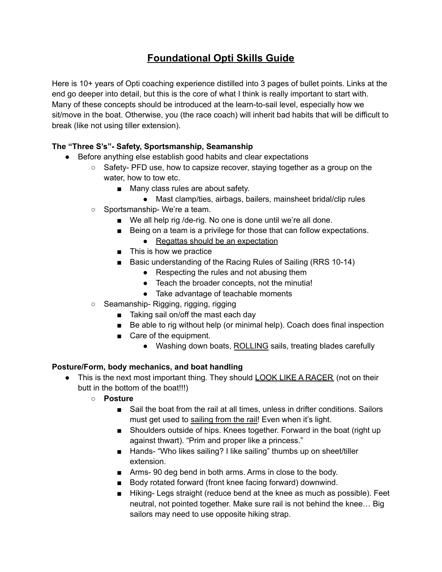# **Foundational Opti Skills Guide**

Here is 10+ years of Opti coaching experience distilled into 3 pages of bullet points. Links at the end go deeper into detail, but this is the core of what I think is really important to start with. Many of these concepts should be introduced at the learn-to-sail level, especially how we sit/move in the boat. Otherwise, you (the race coach) will inherit bad habits that will be difficult to break (like not using tiller extension).

## **The "Three S's"- Safety, Sportsmanship, Seamanship**

- Before anything else establish good habits and clear expectations
	- $\circ$  Safety- PFD use, how to capsize recover, staying together as a group on the water, how to tow etc.
		- Many class rules are about safety.
			- Mast clamp/ties, airbags, bailers, mainsheet bridal/clip rules
	- Sportsmanship-We're a team.
		- We all help rig /de-rig. No one is done until we're all done.
		- Being on a team is a privilege for those that can follow expectations.
			- Regattas should be an expectation
		- This is how we practice
		- Basic understanding of the Racing Rules of Sailing (RRS 10-14)
			- Respecting the rules and not abusing them
			- Teach the broader concepts, not the minutia!
			- Take advantage of teachable moments
	- Seamanship- Rigging, rigging, rigging
		- Taking sail on/off the mast each day
		- Be able to rig without help (or minimal help). Coach does final inspection
		- Care of the equipment.
			- Washing down boats, ROLLING sails, treating blades carefully

#### **Posture/Form, body mechanics, and boat handling**

- This is the next most important thing. They should LOOK LIKE A RACER (not on their butt in the bottom of the boat!!!)
	- **○ Posture**
		- Sail the boat from the rail at all times, unless in drifter conditions. Sailors must get used to sailing from the rail! Even when it's light.
		- Shoulders outside of hips. Knees together. Forward in the boat (right up against thwart). "Prim and proper like a princess."
		- Hands- "Who likes sailing? I like sailing" thumbs up on sheet/tiller extension.
		- Arms-90 deg bend in both arms. Arms in close to the body.
		- Body rotated forward (front knee facing forward) downwind.
		- Hiking- Legs straight (reduce bend at the knee as much as possible). Feet neutral, not pointed together. Make sure rail is not behind the knee… Big sailors may need to use opposite hiking strap.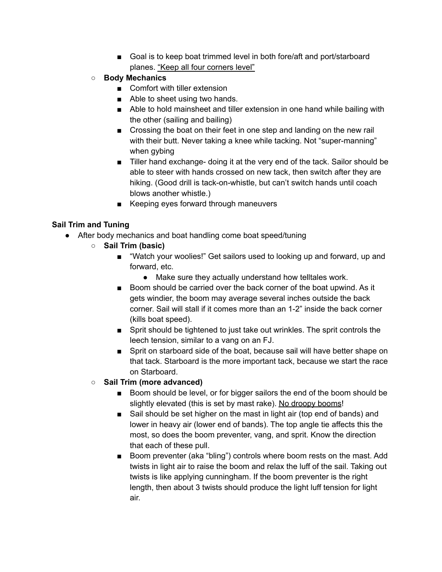- Goal is to keep boat trimmed level in both fore/aft and port/starboard planes. "Keep all four corners level"
- **○ Body Mechanics**
	- Comfort with tiller extension
	- Able to sheet using two hands.
	- Able to hold mainsheet and tiller extension in one hand while bailing with the other (sailing and bailing)
	- Crossing the boat on their feet in one step and landing on the new rail with their butt. Never taking a knee while tacking. Not "super-manning" when gybing
	- Tiller hand exchange- doing it at the very end of the tack. Sailor should be able to steer with hands crossed on new tack, then switch after they are hiking. (Good drill is tack-on-whistle, but can't switch hands until coach blows another whistle.)
	- Keeping eyes forward through maneuvers

#### **Sail Trim and Tuning**

- After body mechanics and boat handling come boat speed/tuning
	- **○ Sail Trim (basic)**
		- "Watch your woolies!" Get sailors used to looking up and forward, up and forward, etc.
			- Make sure they actually understand how telltales work.
		- Boom should be carried over the back corner of the boat upwind. As it gets windier, the boom may average several inches outside the back corner. Sail will stall if it comes more than an 1-2" inside the back corner (kills boat speed).
		- Sprit should be tightened to just take out wrinkles. The sprit controls the leech tension, similar to a vang on an FJ.
		- Sprit on starboard side of the boat, because sail will have better shape on that tack. Starboard is the more important tack, because we start the race on Starboard.
	- **○ Sail Trim (more advanced)**
		- Boom should be level, or for bigger sailors the end of the boom should be slightly elevated (this is set by mast rake). No droopy booms!
		- Sail should be set higher on the mast in light air (top end of bands) and lower in heavy air (lower end of bands). The top angle tie affects this the most, so does the boom preventer, vang, and sprit. Know the direction that each of these pull.
		- Boom preventer (aka "bling") controls where boom rests on the mast. Add twists in light air to raise the boom and relax the luff of the sail. Taking out twists is like applying cunningham. If the boom preventer is the right length, then about 3 twists should produce the light luff tension for light air.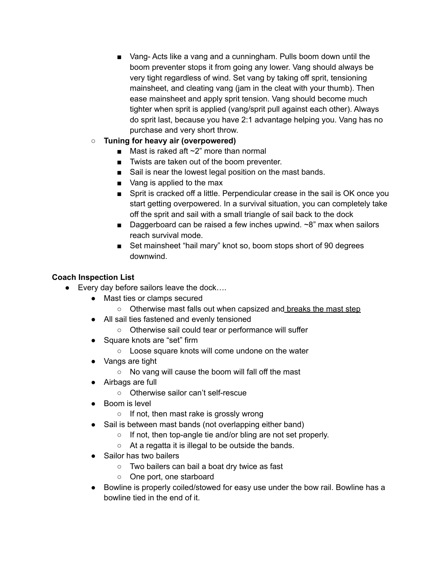- Vang- Acts like a vang and a cunningham. Pulls boom down until the boom preventer stops it from going any lower. Vang should always be very tight regardless of wind. Set vang by taking off sprit, tensioning mainsheet, and cleating vang (jam in the cleat with your thumb). Then ease mainsheet and apply sprit tension. Vang should become much tighter when sprit is applied (vang/sprit pull against each other). Always do sprit last, because you have 2:1 advantage helping you. Vang has no purchase and very short throw.
- **○ Tuning for heavy air (overpowered)**
	- Mast is raked aft  $\sim$ 2" more than normal
	- Twists are taken out of the boom preventer.
	- Sail is near the lowest legal position on the mast bands.
	- Vang is applied to the max
	- Sprit is cracked off a little. Perpendicular crease in the sail is OK once you start getting overpowered. In a survival situation, you can completely take off the sprit and sail with a small triangle of sail back to the dock
	- Daggerboard can be raised a few inches upwind.  $\sim$ 8" max when sailors reach survival mode.
	- Set mainsheet "hail mary" knot so, boom stops short of 90 degrees downwind.

#### **Coach Inspection List**

- Every day before sailors leave the dock....
	- Mast ties or clamps secured
		- Otherwise mast falls out when capsized and breaks the mast step
	- All sail ties fastened and evenly tensioned
		- Otherwise sail could tear or performance will suffer
	- Square knots are "set" firm
		- Loose square knots will come undone on the water
	- Vangs are tight
		- No vang will cause the boom will fall off the mast
	- Airbags are full
		- Otherwise sailor can't self-rescue
	- Boom is level
		- If not, then mast rake is grossly wrong
	- Sail is between mast bands (not overlapping either band)
		- If not, then top-angle tie and/or bling are not set properly.
		- At a regatta it is illegal to be outside the bands.
	- Sailor has two bailers
		- Two bailers can bail a boat dry twice as fast
		- One port, one starboard
	- Bowline is properly coiled/stowed for easy use under the bow rail. Bowline has a bowline tied in the end of it.